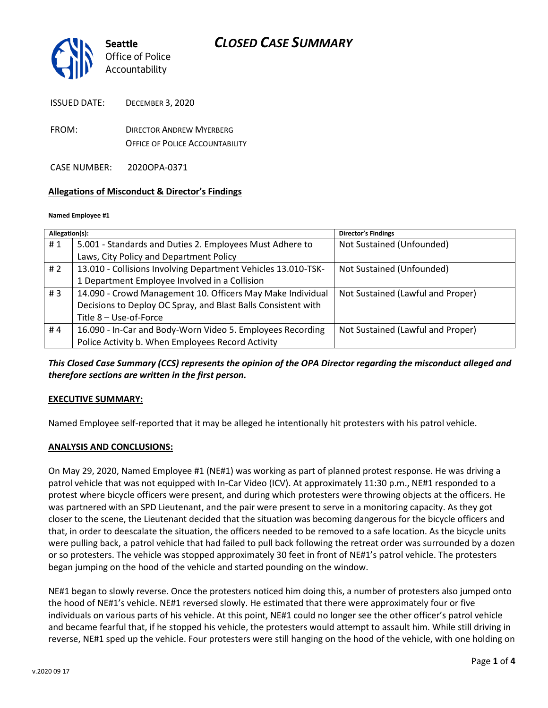

ISSUED DATE: DECEMBER 3, 2020

FROM: DIRECTOR ANDREW MYERBERG OFFICE OF POLICE ACCOUNTABILITY

CASE NUMBER: 2020OPA-0371

#### **Allegations of Misconduct & Director's Findings**

#### **Named Employee #1**

| Allegation(s):   |                                                               | <b>Director's Findings</b>        |
|------------------|---------------------------------------------------------------|-----------------------------------|
| #1               | 5.001 - Standards and Duties 2. Employees Must Adhere to      | Not Sustained (Unfounded)         |
|                  | Laws, City Policy and Department Policy                       |                                   |
| # $2$            | 13.010 - Collisions Involving Department Vehicles 13.010-TSK- | Not Sustained (Unfounded)         |
|                  | 1 Department Employee Involved in a Collision                 |                                   |
| # $\overline{3}$ | 14.090 - Crowd Management 10. Officers May Make Individual    | Not Sustained (Lawful and Proper) |
|                  | Decisions to Deploy OC Spray, and Blast Balls Consistent with |                                   |
|                  | Title 8 - Use-of-Force                                        |                                   |
| #4               | 16.090 - In-Car and Body-Worn Video 5. Employees Recording    | Not Sustained (Lawful and Proper) |
|                  | Police Activity b. When Employees Record Activity             |                                   |

*This Closed Case Summary (CCS) represents the opinion of the OPA Director regarding the misconduct alleged and therefore sections are written in the first person.* 

#### **EXECUTIVE SUMMARY:**

Named Employee self-reported that it may be alleged he intentionally hit protesters with his patrol vehicle.

#### **ANALYSIS AND CONCLUSIONS:**

On May 29, 2020, Named Employee #1 (NE#1) was working as part of planned protest response. He was driving a patrol vehicle that was not equipped with In-Car Video (ICV). At approximately 11:30 p.m., NE#1 responded to a protest where bicycle officers were present, and during which protesters were throwing objects at the officers. He was partnered with an SPD Lieutenant, and the pair were present to serve in a monitoring capacity. As they got closer to the scene, the Lieutenant decided that the situation was becoming dangerous for the bicycle officers and that, in order to deescalate the situation, the officers needed to be removed to a safe location. As the bicycle units were pulling back, a patrol vehicle that had failed to pull back following the retreat order was surrounded by a dozen or so protesters. The vehicle was stopped approximately 30 feet in front of NE#1's patrol vehicle. The protesters began jumping on the hood of the vehicle and started pounding on the window.

NE#1 began to slowly reverse. Once the protesters noticed him doing this, a number of protesters also jumped onto the hood of NE#1's vehicle. NE#1 reversed slowly. He estimated that there were approximately four or five individuals on various parts of his vehicle. At this point, NE#1 could no longer see the other officer's patrol vehicle and became fearful that, if he stopped his vehicle, the protesters would attempt to assault him. While still driving in reverse, NE#1 sped up the vehicle. Four protesters were still hanging on the hood of the vehicle, with one holding on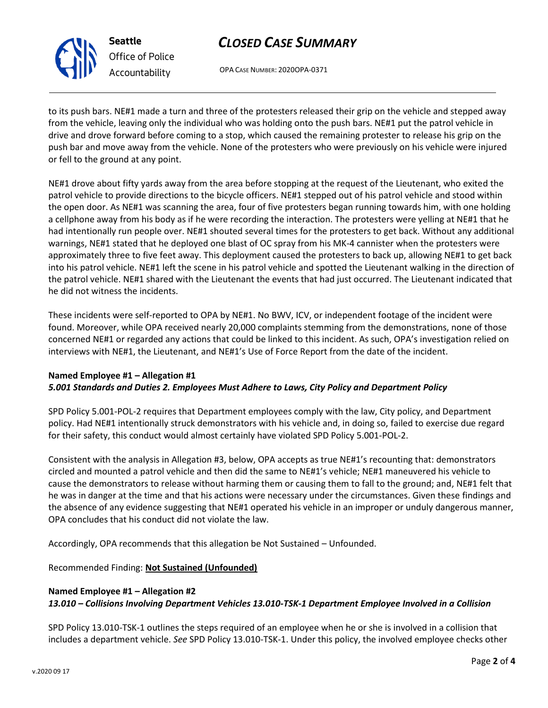

**Seattle** *Office of Police Accountability*

# *CLOSED CASE SUMMARY*

OPA CASE NUMBER: 2020OPA-0371

to its push bars. NE#1 made a turn and three of the protesters released their grip on the vehicle and stepped away from the vehicle, leaving only the individual who was holding onto the push bars. NE#1 put the patrol vehicle in drive and drove forward before coming to a stop, which caused the remaining protester to release his grip on the push bar and move away from the vehicle. None of the protesters who were previously on his vehicle were injured or fell to the ground at any point.

NE#1 drove about fifty yards away from the area before stopping at the request of the Lieutenant, who exited the patrol vehicle to provide directions to the bicycle officers. NE#1 stepped out of his patrol vehicle and stood within the open door. As NE#1 was scanning the area, four of five protesters began running towards him, with one holding a cellphone away from his body as if he were recording the interaction. The protesters were yelling at NE#1 that he had intentionally run people over. NE#1 shouted several times for the protesters to get back. Without any additional warnings, NE#1 stated that he deployed one blast of OC spray from his MK-4 cannister when the protesters were approximately three to five feet away. This deployment caused the protesters to back up, allowing NE#1 to get back into his patrol vehicle. NE#1 left the scene in his patrol vehicle and spotted the Lieutenant walking in the direction of the patrol vehicle. NE#1 shared with the Lieutenant the events that had just occurred. The Lieutenant indicated that he did not witness the incidents.

These incidents were self-reported to OPA by NE#1. No BWV, ICV, or independent footage of the incident were found. Moreover, while OPA received nearly 20,000 complaints stemming from the demonstrations, none of those concerned NE#1 or regarded any actions that could be linked to this incident. As such, OPA's investigation relied on interviews with NE#1, the Lieutenant, and NE#1's Use of Force Report from the date of the incident.

### **Named Employee #1 – Allegation #1** *5.001 Standards and Duties 2. Employees Must Adhere to Laws, City Policy and Department Policy*

SPD Policy 5.001-POL-2 requires that Department employees comply with the law, City policy, and Department policy. Had NE#1 intentionally struck demonstrators with his vehicle and, in doing so, failed to exercise due regard for their safety, this conduct would almost certainly have violated SPD Policy 5.001-POL-2.

Consistent with the analysis in Allegation #3, below, OPA accepts as true NE#1's recounting that: demonstrators circled and mounted a patrol vehicle and then did the same to NE#1's vehicle; NE#1 maneuvered his vehicle to cause the demonstrators to release without harming them or causing them to fall to the ground; and, NE#1 felt that he was in danger at the time and that his actions were necessary under the circumstances. Given these findings and the absence of any evidence suggesting that NE#1 operated his vehicle in an improper or unduly dangerous manner, OPA concludes that his conduct did not violate the law.

Accordingly, OPA recommends that this allegation be Not Sustained – Unfounded.

Recommended Finding: **Not Sustained (Unfounded)**

### **Named Employee #1 – Allegation #2**

*13.010 – Collisions Involving Department Vehicles 13.010-TSK-1 Department Employee Involved in a Collision*

SPD Policy 13.010-TSK-1 outlines the steps required of an employee when he or she is involved in a collision that includes a department vehicle. *See* SPD Policy 13.010-TSK-1. Under this policy, the involved employee checks other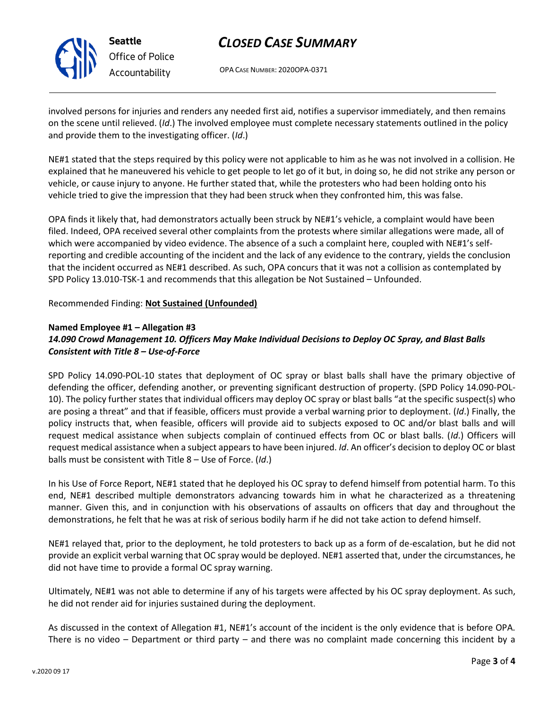

# *CLOSED CASE SUMMARY*

OPA CASE NUMBER: 2020OPA-0371

involved persons for injuries and renders any needed first aid, notifies a supervisor immediately, and then remains on the scene until relieved. (*Id*.) The involved employee must complete necessary statements outlined in the policy and provide them to the investigating officer. (*Id*.)

NE#1 stated that the steps required by this policy were not applicable to him as he was not involved in a collision. He explained that he maneuvered his vehicle to get people to let go of it but, in doing so, he did not strike any person or vehicle, or cause injury to anyone. He further stated that, while the protesters who had been holding onto his vehicle tried to give the impression that they had been struck when they confronted him, this was false.

OPA finds it likely that, had demonstrators actually been struck by NE#1's vehicle, a complaint would have been filed. Indeed, OPA received several other complaints from the protests where similar allegations were made, all of which were accompanied by video evidence. The absence of a such a complaint here, coupled with NE#1's selfreporting and credible accounting of the incident and the lack of any evidence to the contrary, yields the conclusion that the incident occurred as NE#1 described. As such, OPA concurs that it was not a collision as contemplated by SPD Policy 13.010-TSK-1 and recommends that this allegation be Not Sustained – Unfounded.

Recommended Finding: **Not Sustained (Unfounded)**

# **Named Employee #1 – Allegation #3** *14.090 Crowd Management 10. Officers May Make Individual Decisions to Deploy OC Spray, and Blast Balls Consistent with Title 8 – Use-of-Force*

SPD Policy 14.090-POL-10 states that deployment of OC spray or blast balls shall have the primary objective of defending the officer, defending another, or preventing significant destruction of property. (SPD Policy 14.090-POL-10). The policy further states that individual officers may deploy OC spray or blast balls "at the specific suspect(s) who are posing a threat" and that if feasible, officers must provide a verbal warning prior to deployment. (*Id*.) Finally, the policy instructs that, when feasible, officers will provide aid to subjects exposed to OC and/or blast balls and will request medical assistance when subjects complain of continued effects from OC or blast balls. (*Id*.) Officers will request medical assistance when a subject appears to have been injured. *Id*. An officer's decision to deploy OC or blast balls must be consistent with Title 8 – Use of Force. (*Id*.)

In his Use of Force Report, NE#1 stated that he deployed his OC spray to defend himself from potential harm. To this end, NE#1 described multiple demonstrators advancing towards him in what he characterized as a threatening manner. Given this, and in conjunction with his observations of assaults on officers that day and throughout the demonstrations, he felt that he was at risk of serious bodily harm if he did not take action to defend himself.

NE#1 relayed that, prior to the deployment, he told protesters to back up as a form of de-escalation, but he did not provide an explicit verbal warning that OC spray would be deployed. NE#1 asserted that, under the circumstances, he did not have time to provide a formal OC spray warning.

Ultimately, NE#1 was not able to determine if any of his targets were affected by his OC spray deployment. As such, he did not render aid for injuries sustained during the deployment.

As discussed in the context of Allegation #1, NE#1's account of the incident is the only evidence that is before OPA. There is no video – Department or third party – and there was no complaint made concerning this incident by a